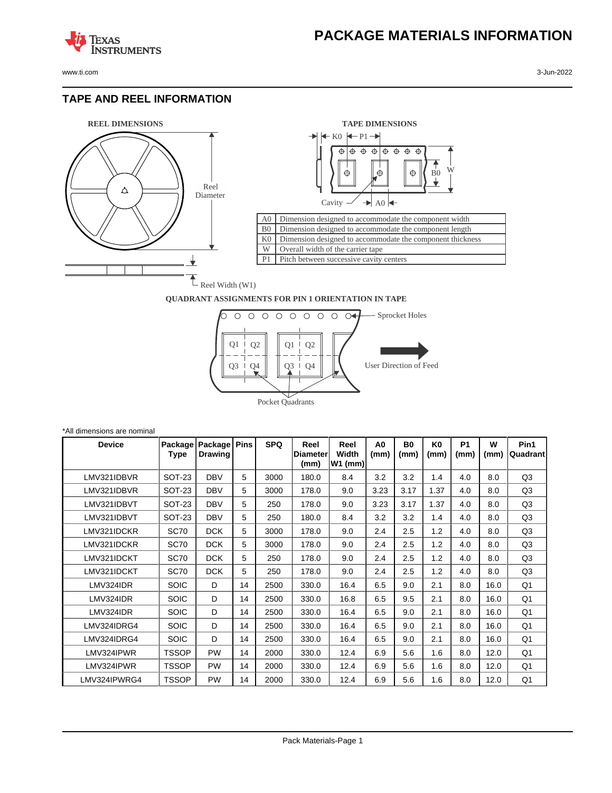www.ti.com 3-Jun-2022

**TEXAS** 

#### **TAPE AND REEL INFORMATION**

**ISTRUMENTS** 





#### **QUADRANT ASSIGNMENTS FOR PIN 1 ORIENTATION IN TAPE**



| *All dimensions are nominal |                 |                           |             |            |                          |                            |                        |            |            |                   |           |                   |
|-----------------------------|-----------------|---------------------------|-------------|------------|--------------------------|----------------------------|------------------------|------------|------------|-------------------|-----------|-------------------|
| <b>Device</b>               | Package<br>Type | Package<br><b>Drawing</b> | <b>Pins</b> | <b>SPQ</b> | Reel<br>Diameter<br>(mm) | Reel<br>Width<br>$W1$ (mm) | A <sub>0</sub><br>(mm) | B0<br>(mm) | K0<br>(mm) | <b>P1</b><br>(mm) | W<br>(mm) | Pin1<br> Quadrant |
| LMV321IDBVR                 | <b>SOT-23</b>   | <b>DBV</b>                | 5           | 3000       | 180.0                    | 8.4                        | 3.2                    | 3.2        | 1.4        | 4.0               | 8.0       | Q <sub>3</sub>    |
| LMV321IDBVR                 | SOT-23          | <b>DBV</b>                | 5           | 3000       | 178.0                    | 9.0                        | 3.23                   | 3.17       | 1.37       | 4.0               | 8.0       | Q <sub>3</sub>    |
| LMV321IDBVT                 | <b>SOT-23</b>   | <b>DBV</b>                | 5           | 250        | 178.0                    | 9.0                        | 3.23                   | 3.17       | 1.37       | 4.0               | 8.0       | Q <sub>3</sub>    |
| LMV321IDBVT                 | SOT-23          | <b>DBV</b>                | 5           | 250        | 180.0                    | 8.4                        | 3.2                    | 3.2        | 1.4        | 4.0               | 8.0       | Q <sub>3</sub>    |
| LMV321IDCKR                 | <b>SC70</b>     | <b>DCK</b>                | 5           | 3000       | 178.0                    | 9.0                        | 2.4                    | 2.5        | 1.2        | 4.0               | 8.0       | Q <sub>3</sub>    |
| LMV321IDCKR                 | <b>SC70</b>     | <b>DCK</b>                | 5           | 3000       | 178.0                    | 9.0                        | 2.4                    | 2.5        | 1.2        | 4.0               | 8.0       | Q <sub>3</sub>    |
| LMV321IDCKT                 | <b>SC70</b>     | <b>DCK</b>                | 5           | 250        | 178.0                    | 9.0                        | 2.4                    | 2.5        | 1.2        | 4.0               | 8.0       | Q <sub>3</sub>    |
| LMV321IDCKT                 | <b>SC70</b>     | <b>DCK</b>                | 5           | 250        | 178.0                    | 9.0                        | 2.4                    | 2.5        | 1.2        | 4.0               | 8.0       | Q <sub>3</sub>    |
| LMV324IDR                   | <b>SOIC</b>     | D                         | 14          | 2500       | 330.0                    | 16.4                       | 6.5                    | 9.0        | 2.1        | 8.0               | 16.0      | Q <sub>1</sub>    |
| LMV324IDR                   | <b>SOIC</b>     | D                         | 14          | 2500       | 330.0                    | 16.8                       | 6.5                    | 9.5        | 2.1        | 8.0               | 16.0      | Q <sub>1</sub>    |
| LMV324IDR                   | <b>SOIC</b>     | D                         | 14          | 2500       | 330.0                    | 16.4                       | 6.5                    | 9.0        | 2.1        | 8.0               | 16.0      | Q <sub>1</sub>    |
| LMV324IDRG4                 | <b>SOIC</b>     | D                         | 14          | 2500       | 330.0                    | 16.4                       | 6.5                    | 9.0        | 2.1        | 8.0               | 16.0      | Q <sub>1</sub>    |
| LMV324IDRG4                 | <b>SOIC</b>     | D                         | 14          | 2500       | 330.0                    | 16.4                       | 6.5                    | 9.0        | 2.1        | 8.0               | 16.0      | Q <sub>1</sub>    |
| LMV324IPWR                  | <b>TSSOP</b>    | <b>PW</b>                 | 14          | 2000       | 330.0                    | 12.4                       | 6.9                    | 5.6        | 1.6        | 8.0               | 12.0      | Q <sub>1</sub>    |
| LMV324IPWR                  | <b>TSSOP</b>    | PW                        | 14          | 2000       | 330.0                    | 12.4                       | 6.9                    | 5.6        | 1.6        | 8.0               | 12.0      | Q <sub>1</sub>    |
| LMV324IPWRG4                | <b>TSSOP</b>    | PW                        | 14          | 2000       | 330.0                    | 12.4                       | 6.9                    | 5.6        | 1.6        | 8.0               | 12.0      | Q <sub>1</sub>    |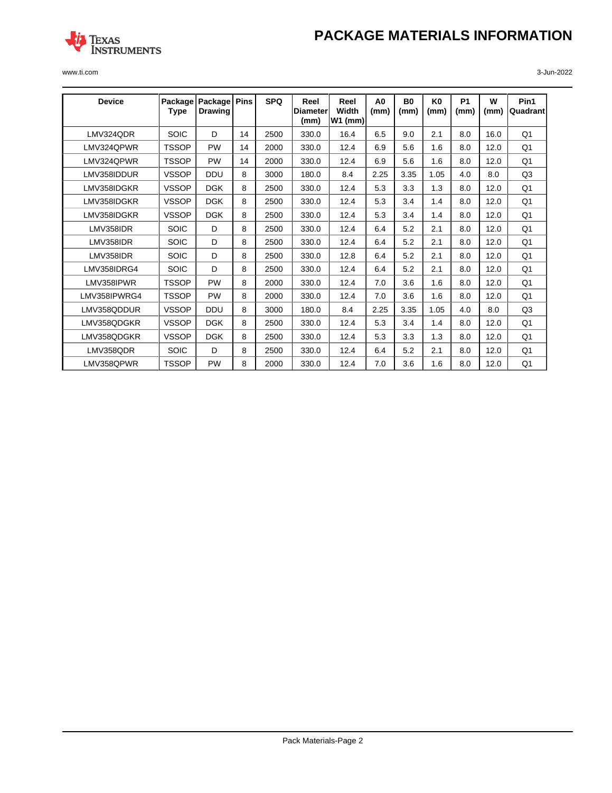# **PACKAGE MATERIALS INFORMATION**



www.ti.com 3-Jun-2022

| <b>Device</b> | Package<br>Type | Package<br><b>Drawing</b> | <b>Pins</b> | <b>SPQ</b> | Reel<br><b>Diameter</b><br>(mm) | Reel<br>Width<br>$W1$ (mm) | A <sub>0</sub><br>(mm) | B <sub>0</sub><br>(mm) | K <sub>0</sub><br>(mm) | <b>P1</b><br>(mm) | W<br>(mm) | Pin1<br>Quadrant |
|---------------|-----------------|---------------------------|-------------|------------|---------------------------------|----------------------------|------------------------|------------------------|------------------------|-------------------|-----------|------------------|
| LMV324QDR     | <b>SOIC</b>     | D                         | 14          | 2500       | 330.0                           | 16.4                       | 6.5                    | 9.0                    | 2.1                    | 8.0               | 16.0      | Q <sub>1</sub>   |
| LMV324QPWR    | <b>TSSOP</b>    | <b>PW</b>                 | 14          | 2000       | 330.0                           | 12.4                       | 6.9                    | 5.6                    | 1.6                    | 8.0               | 12.0      | Q <sub>1</sub>   |
| LMV324QPWR    | <b>TSSOP</b>    | <b>PW</b>                 | 14          | 2000       | 330.0                           | 12.4                       | 6.9                    | 5.6                    | 1.6                    | 8.0               | 12.0      | Q <sub>1</sub>   |
| LMV358IDDUR   | <b>VSSOP</b>    | <b>DDU</b>                | 8           | 3000       | 180.0                           | 8.4                        | 2.25                   | 3.35                   | 1.05                   | 4.0               | 8.0       | Q3               |
| LMV358IDGKR   | <b>VSSOP</b>    | <b>DGK</b>                | 8           | 2500       | 330.0                           | 12.4                       | 5.3                    | 3.3                    | 1.3                    | 8.0               | 12.0      | Q <sub>1</sub>   |
| LMV358IDGKR   | <b>VSSOP</b>    | <b>DGK</b>                | 8           | 2500       | 330.0                           | 12.4                       | 5.3                    | 3.4                    | 1.4                    | 8.0               | 12.0      | Q <sub>1</sub>   |
| LMV358IDGKR   | <b>VSSOP</b>    | <b>DGK</b>                | 8           | 2500       | 330.0                           | 12.4                       | 5.3                    | 3.4                    | 1.4                    | 8.0               | 12.0      | Q1               |
| LMV358IDR     | <b>SOIC</b>     | D                         | 8           | 2500       | 330.0                           | 12.4                       | 6.4                    | 5.2                    | 2.1                    | 8.0               | 12.0      | Q1               |
| LMV358IDR     | <b>SOIC</b>     | D                         | 8           | 2500       | 330.0                           | 12.4                       | 6.4                    | 5.2                    | 2.1                    | 8.0               | 12.0      | Q <sub>1</sub>   |
| LMV358IDR     | <b>SOIC</b>     | D                         | 8           | 2500       | 330.0                           | 12.8                       | 6.4                    | 5.2                    | 2.1                    | 8.0               | 12.0      | Q <sub>1</sub>   |
| LMV358IDRG4   | <b>SOIC</b>     | D                         | 8           | 2500       | 330.0                           | 12.4                       | 6.4                    | 5.2                    | 2.1                    | 8.0               | 12.0      | O <sub>1</sub>   |
| LMV358IPWR    | <b>TSSOP</b>    | PW                        | 8           | 2000       | 330.0                           | 12.4                       | 7.0                    | 3.6                    | 1.6                    | 8.0               | 12.0      | Q1               |
| LMV358IPWRG4  | <b>TSSOP</b>    | PW                        | 8           | 2000       | 330.0                           | 12.4                       | 7.0                    | 3.6                    | 1.6                    | 8.0               | 12.0      | Q1               |
| LMV358QDDUR   | <b>VSSOP</b>    | <b>DDU</b>                | 8           | 3000       | 180.0                           | 8.4                        | 2.25                   | 3.35                   | 1.05                   | 4.0               | 8.0       | Q3               |
| LMV358QDGKR   | <b>VSSOP</b>    | <b>DGK</b>                | 8           | 2500       | 330.0                           | 12.4                       | 5.3                    | 3.4                    | 1.4                    | 8.0               | 12.0      | Q <sub>1</sub>   |
| LMV358QDGKR   | <b>VSSOP</b>    | <b>DGK</b>                | 8           | 2500       | 330.0                           | 12.4                       | 5.3                    | 3.3                    | 1.3                    | 8.0               | 12.0      | Q <sub>1</sub>   |
| LMV358QDR     | SOIC            | D                         | 8           | 2500       | 330.0                           | 12.4                       | 6.4                    | 5.2                    | 2.1                    | 8.0               | 12.0      | Q1               |
| LMV358QPWR    | <b>TSSOP</b>    | <b>PW</b>                 | 8           | 2000       | 330.0                           | 12.4                       | 7.0                    | 3.6                    | 1.6                    | 8.0               | 12.0      | Q1               |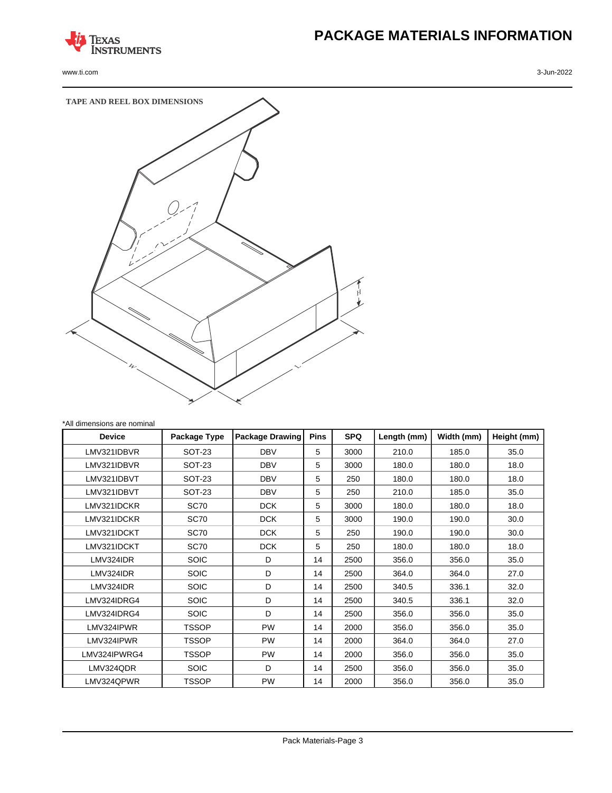

www.ti.com 3-Jun-2022

# **PACKAGE MATERIALS INFORMATION**



| <b>Device</b> | Package Type  | <b>Package Drawing</b> | <b>Pins</b> | <b>SPQ</b> | Length (mm) | Width (mm) | Height (mm) |
|---------------|---------------|------------------------|-------------|------------|-------------|------------|-------------|
| LMV321IDBVR   | <b>SOT-23</b> | <b>DBV</b>             | 5           | 3000       | 210.0       | 185.0      | 35.0        |
| LMV321IDBVR   | <b>SOT-23</b> | <b>DBV</b>             | 5           | 3000       | 180.0       | 180.0      | 18.0        |
| LMV321IDBVT   | <b>SOT-23</b> | <b>DBV</b>             | 5           | 250        | 180.0       | 180.0      | 18.0        |
| LMV321IDBVT   | <b>SOT-23</b> | <b>DBV</b>             | 5           | 250        | 210.0       | 185.0      | 35.0        |
| LMV321IDCKR   | SC70          | <b>DCK</b>             | 5           | 3000       | 180.0       | 180.0      | 18.0        |
| LMV321IDCKR   | SC70          | <b>DCK</b>             | 5           | 3000       | 190.0       | 190.0      | 30.0        |
| LMV321IDCKT   | SC70          | <b>DCK</b>             | 5           | 250        | 190.0       | 190.0      | 30.0        |
| LMV321IDCKT   | SC70          | <b>DCK</b>             | 5           | 250        | 180.0       | 180.0      | 18.0        |
| LMV324IDR     | <b>SOIC</b>   | D                      | 14          | 2500       | 356.0       | 356.0      | 35.0        |
| LMV324IDR     | <b>SOIC</b>   | D                      | 14          | 2500       | 364.0       | 364.0      | 27.0        |
| LMV324IDR     | <b>SOIC</b>   | D                      | 14          | 2500       | 340.5       | 336.1      | 32.0        |
| LMV324IDRG4   | <b>SOIC</b>   | D                      | 14          | 2500       | 340.5       | 336.1      | 32.0        |
| LMV324IDRG4   | <b>SOIC</b>   | D                      | 14          | 2500       | 356.0       | 356.0      | 35.0        |
| LMV324IPWR    | <b>TSSOP</b>  | <b>PW</b>              | 14          | 2000       | 356.0       | 356.0      | 35.0        |
| LMV324IPWR    | <b>TSSOP</b>  | <b>PW</b>              | 14          | 2000       | 364.0       | 364.0      | 27.0        |
| LMV324IPWRG4  | <b>TSSOP</b>  | <b>PW</b>              | 14          | 2000       | 356.0       | 356.0      | 35.0        |
| LMV324QDR     | <b>SOIC</b>   | D                      | 14          | 2500       | 356.0       | 356.0      | 35.0        |
| LMV324QPWR    | <b>TSSOP</b>  | <b>PW</b>              | 14          | 2000       | 356.0       | 356.0      | 35.0        |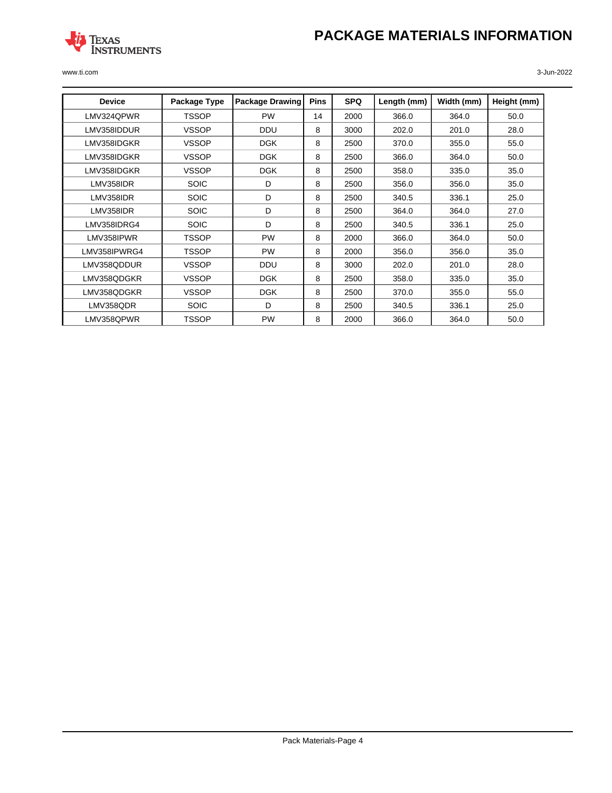# **PACKAGE MATERIALS INFORMATION**



www.ti.com 3-Jun-2022

| <b>Device</b> | Package Type | <b>Package Drawing</b> | <b>Pins</b> | <b>SPQ</b> | Length (mm) | Width (mm) | Height (mm) |
|---------------|--------------|------------------------|-------------|------------|-------------|------------|-------------|
| LMV324QPWR    | <b>TSSOP</b> | <b>PW</b>              | 14          | 2000       | 366.0       | 364.0      | 50.0        |
| LMV358IDDUR   | <b>VSSOP</b> | <b>DDU</b>             | 8           | 3000       | 202.0       | 201.0      | 28.0        |
| LMV358IDGKR   | <b>VSSOP</b> | <b>DGK</b>             | 8           | 2500       | 370.0       | 355.0      | 55.0        |
| LMV358IDGKR   | <b>VSSOP</b> | <b>DGK</b>             | 8           | 2500       | 366.0       | 364.0      | 50.0        |
| LMV358IDGKR   | <b>VSSOP</b> | <b>DGK</b>             | 8           | 2500       | 358.0       | 335.0      | 35.0        |
| LMV358IDR     | <b>SOIC</b>  | D                      | 8           | 2500       | 356.0       | 356.0      | 35.0        |
| LMV358IDR     | <b>SOIC</b>  | D                      | 8           | 2500       | 340.5       | 336.1      | 25.0        |
| LMV358IDR     | <b>SOIC</b>  | D                      | 8           | 2500       | 364.0       | 364.0      | 27.0        |
| LMV358IDRG4   | <b>SOIC</b>  | D                      | 8           | 2500       | 340.5       | 336.1      | 25.0        |
| LMV358IPWR    | <b>TSSOP</b> | <b>PW</b>              | 8           | 2000       | 366.0       | 364.0      | 50.0        |
| LMV358IPWRG4  | <b>TSSOP</b> | <b>PW</b>              | 8           | 2000       | 356.0       | 356.0      | 35.0        |
| LMV358QDDUR   | <b>VSSOP</b> | <b>DDU</b>             | 8           | 3000       | 202.0       | 201.0      | 28.0        |
| LMV358QDGKR   | <b>VSSOP</b> | <b>DGK</b>             | 8           | 2500       | 358.0       | 335.0      | 35.0        |
| LMV358QDGKR   | <b>VSSOP</b> | <b>DGK</b>             | 8           | 2500       | 370.0       | 355.0      | 55.0        |
| LMV358QDR     | <b>SOIC</b>  | D                      | 8           | 2500       | 340.5       | 336.1      | 25.0        |
| LMV358QPWR    | <b>TSSOP</b> | <b>PW</b>              | 8           | 2000       | 366.0       | 364.0      | 50.0        |